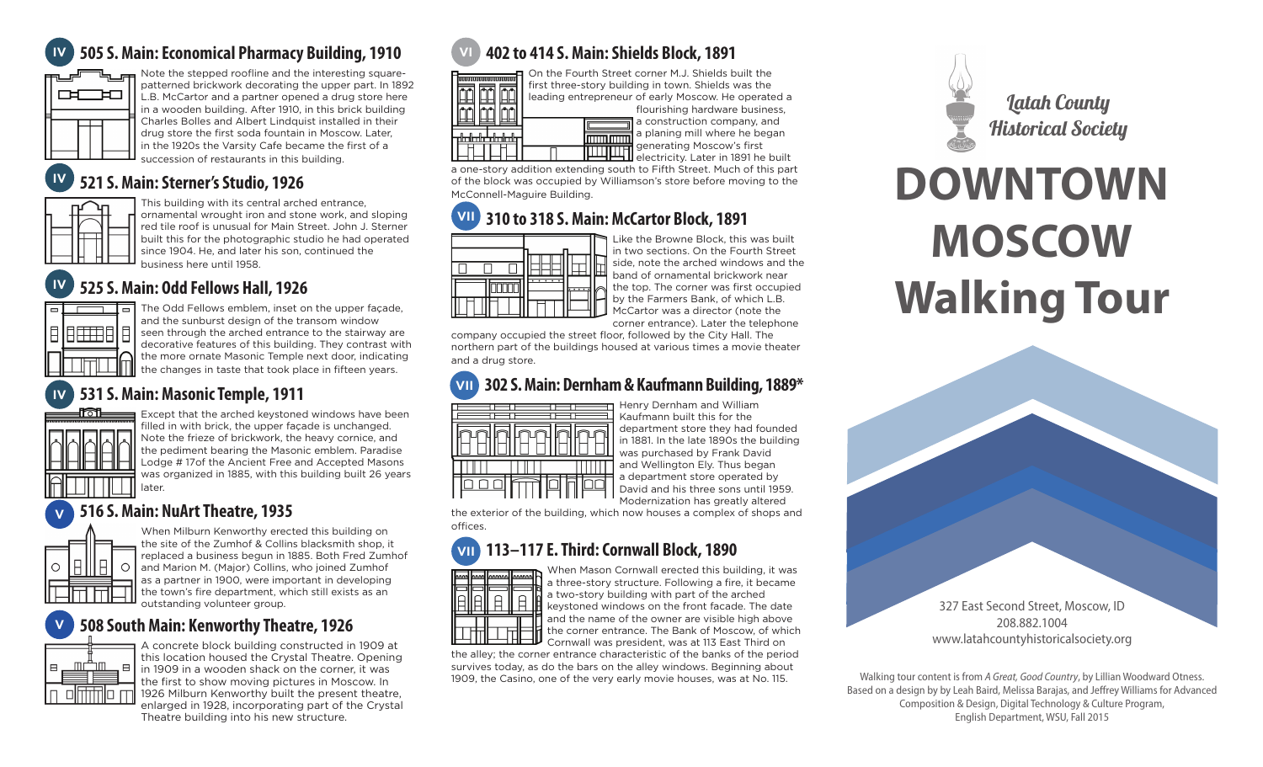# **505 S. Main: Economical Pharmacy Building, 1910 IV**



Note the stepped roofline and the interesting squarepatterned brickwork decorating the upper part. In 1892 L.B. McCartor and a partner opened a drug store here in a wooden building. After 1910, in this brick building Charles Bolles and Albert Lindquist installed in their drug store the first soda fountain in Moscow. Later, in the 1920s the Varsity Cafe became the first of a succession of restaurants in this building.

#### **521 S. Main: Sterner's Studio, 1926 IV**



This building with its central arched entrance, ornamental wrought iron and stone work, and sloping red tile roof is unusual for Main Street. John J. Sterner built this for the photographic studio he had operated since 1904. He, and later his son, continued the business here until 1958.

#### **525 S. Main: Odd Fellows Hall, 1926 IV**

The Odd Fellows emblem, inset on the upper façade, and the sunburst design of the transom window seen through the arched entrance to the stairway are decorative features of this building. They contrast with the more ornate Masonic Temple next door, indicating the changes in taste that took place in fifteen years.

### **531 S. Main: Masonic Temple, 1911 IV**



Except that the arched keystoned windows have been filled in with brick, the upper façade is unchanged. Note the frieze of brickwork, the heavy cornice, and the pediment bearing the Masonic emblem. Paradise Lodge # 17of the Ancient Free and Accepted Masons was organized in 1885, with this building built 26 years later.

#### **516 S. Main: NuArt Theatre, 1935 V**



When Milburn Kenworthy erected this building on the site of the Zumhof & Collins blacksmith shop, it replaced a business begun in 1885. Both Fred Zumhof and Marion M. (Major) Collins, who joined Zumhof as a partner in 1900, were important in developing the town's fire department, which still exists as an outstanding volunteer group.

# **508 South Main: Kenworthy Theatre, 1926**



**V**

A concrete block building constructed in 1909 at this location housed the Crystal Theatre. Opening in 1909 in a wooden shack on the corner, it was the first to show moving pictures in Moscow. In 1926 Milburn Kenworthy built the present theatre, enlarged in 1928, incorporating part of the Crystal Theatre building into his new structure.

## **402 to 414 S. Main: Shields Block, 1891 VI**

On the Fourth Street corner M.J. Shields built the 00000000000000000000 **THE THE** 

first three-story building in town. Shields was the leading entrepreneur of early Moscow. He operated a flourishing hardware business, a construction company, and a planing mill where he began mm mm

generating Moscow's first **ELECTR** Service and Conservative Later in 1891 he built

a one-story addition extending south to Fifth Street. Much of this part of the block was occupied by Williamson's store before moving to the McConnell-Maguire Building.

#### **310 to 318 S. Main: McCartor Block, 1891 VII**



Like the Browne Block, this was built in two sections. On the Fourth Street side, note the arched windows and the band of ornamental brickwork near the top. The corner was first occupied by the Farmers Bank, of which L.B. McCartor was a director (note the corner entrance). Later the telephone

company occupied the street floor, followed by the City Hall. The northern part of the buildings housed at various times a movie theater and a drug store.

# **302 S. Main: Dernham & Kaufmann Building, 1889\* VII**



Henry Dernham and William Kaufmann built this for the department store they had founded in 1881. In the late 1890s the building was purchased by Frank David and Wellington Ely. Thus began a department store operated by David and his three sons until 1959. Modernization has greatly altered

the exterior of the building, which now houses a complex of shops and offices.

### **113–117 E. Third: Cornwall Block, 1890 VII**



When Mason Cornwall erected this building, it was a three-story structure. Following a fire, it became a two-story building with part of the arched keystoned windows on the front facade. The date and the name of the owner are visible high above<br>the corner entrance. The Bank of Moscow, of which the corner entrance. The Bank of Moscow, of which Cornwall was president, was at 113 East Third on

the alley; the corner entrance characteristic of the banks of the period survives today, as do the bars on the alley windows. Beginning about 1909, the Casino, one of the very early movie houses, was at No. 115.



# **DOWNTOWN MOSCOW Walking Tour**



Walking tour content is from *A Great, Good Country*, by Lillian Woodward Otness. Based on a design by by Leah Baird, Melissa Barajas, and Jeffrey Williams for Advanced Composition & Design, Digital Technology & Culture Program, English Department, WSU, Fall 2015